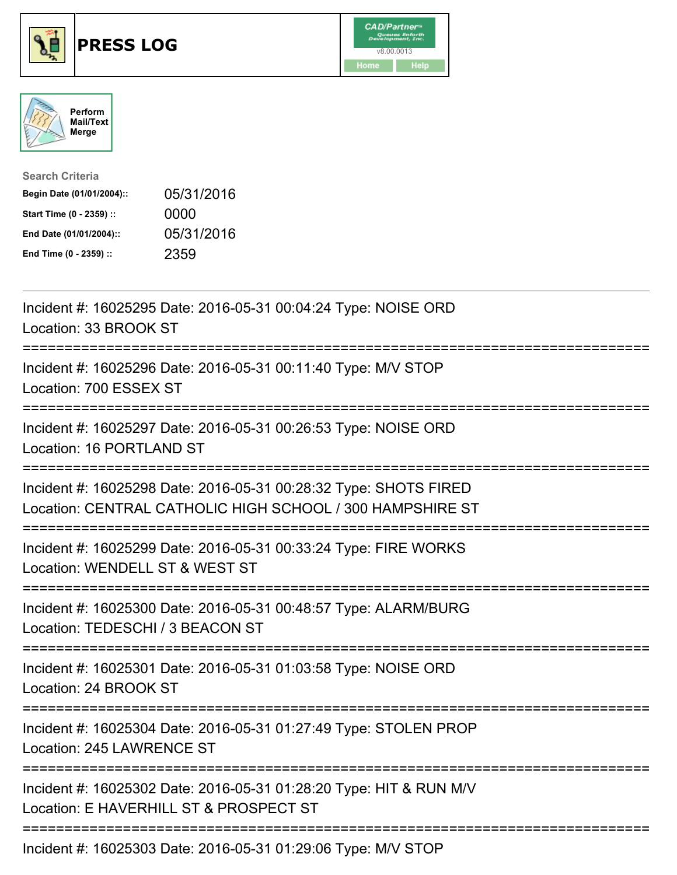





| <b>Search Criteria</b>    |            |
|---------------------------|------------|
| Begin Date (01/01/2004):: | 05/31/2016 |
| Start Time (0 - 2359) ::  | 0000       |
| End Date (01/01/2004)::   | 05/31/2016 |
| End Time (0 - 2359) ::    | 2359       |

| Incident #: 16025295 Date: 2016-05-31 00:04:24 Type: NOISE ORD<br>Location: 33 BROOK ST                                                           |
|---------------------------------------------------------------------------------------------------------------------------------------------------|
| Incident #: 16025296 Date: 2016-05-31 00:11:40 Type: M/V STOP<br>Location: 700 ESSEX ST                                                           |
| Incident #: 16025297 Date: 2016-05-31 00:26:53 Type: NOISE ORD<br>Location: 16 PORTLAND ST                                                        |
| Incident #: 16025298 Date: 2016-05-31 00:28:32 Type: SHOTS FIRED<br>Location: CENTRAL CATHOLIC HIGH SCHOOL / 300 HAMPSHIRE ST                     |
| Incident #: 16025299 Date: 2016-05-31 00:33:24 Type: FIRE WORKS<br>Location: WENDELL ST & WEST ST<br>:================                            |
| Incident #: 16025300 Date: 2016-05-31 00:48:57 Type: ALARM/BURG<br>Location: TEDESCHI / 3 BEACON ST<br>-------------------------<br>------------- |
| Incident #: 16025301 Date: 2016-05-31 01:03:58 Type: NOISE ORD<br>Location: 24 BROOK ST                                                           |
| Incident #: 16025304 Date: 2016-05-31 01:27:49 Type: STOLEN PROP<br>Location: 245 LAWRENCE ST                                                     |
| Incident #: 16025302 Date: 2016-05-31 01:28:20 Type: HIT & RUN M/V<br>Location: E HAVERHILL ST & PROSPECT ST                                      |
| Incident #: 16025303 Date: 2016-05-31 01:29:06 Type: M/V STOP                                                                                     |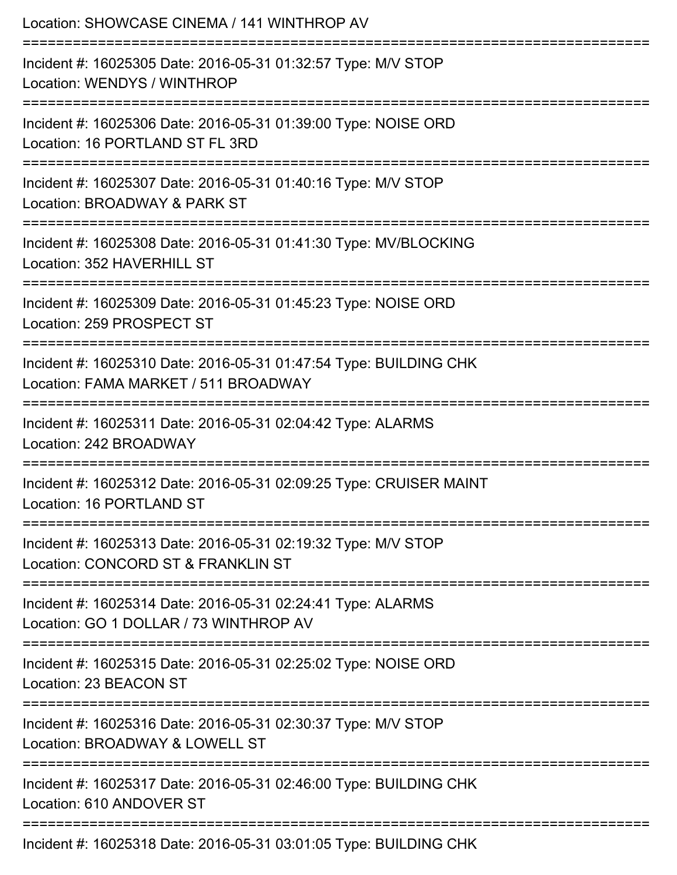| Location: SHOWCASE CINEMA / 141 WINTHROP AV                                                                                           |
|---------------------------------------------------------------------------------------------------------------------------------------|
| Incident #: 16025305 Date: 2016-05-31 01:32:57 Type: M/V STOP<br>Location: WENDYS / WINTHROP<br>======================                |
| Incident #: 16025306 Date: 2016-05-31 01:39:00 Type: NOISE ORD<br>Location: 16 PORTLAND ST FL 3RD                                     |
| Incident #: 16025307 Date: 2016-05-31 01:40:16 Type: M/V STOP<br>Location: BROADWAY & PARK ST                                         |
| Incident #: 16025308 Date: 2016-05-31 01:41:30 Type: MV/BLOCKING<br>Location: 352 HAVERHILL ST                                        |
| Incident #: 16025309 Date: 2016-05-31 01:45:23 Type: NOISE ORD<br>Location: 259 PROSPECT ST                                           |
| Incident #: 16025310 Date: 2016-05-31 01:47:54 Type: BUILDING CHK<br>Location: FAMA MARKET / 511 BROADWAY                             |
| =======================<br>Incident #: 16025311 Date: 2016-05-31 02:04:42 Type: ALARMS<br>Location: 242 BROADWAY                      |
| Incident #: 16025312 Date: 2016-05-31 02:09:25 Type: CRUISER MAINT<br>Location: 16 PORTLAND ST                                        |
| ------------------------------<br>Incident #: 16025313 Date: 2016-05-31 02:19:32 Type: M/V STOP<br>Location: CONCORD ST & FRANKLIN ST |
| Incident #: 16025314 Date: 2016-05-31 02:24:41 Type: ALARMS<br>Location: GO 1 DOLLAR / 73 WINTHROP AV                                 |
| Incident #: 16025315 Date: 2016-05-31 02:25:02 Type: NOISE ORD<br>Location: 23 BEACON ST                                              |
| Incident #: 16025316 Date: 2016-05-31 02:30:37 Type: M/V STOP<br>Location: BROADWAY & LOWELL ST                                       |
| Incident #: 16025317 Date: 2016-05-31 02:46:00 Type: BUILDING CHK<br>Location: 610 ANDOVER ST                                         |
| Incident #: 16025318 Date: 2016-05-31 03:01:05 Type: BUILDING CHK                                                                     |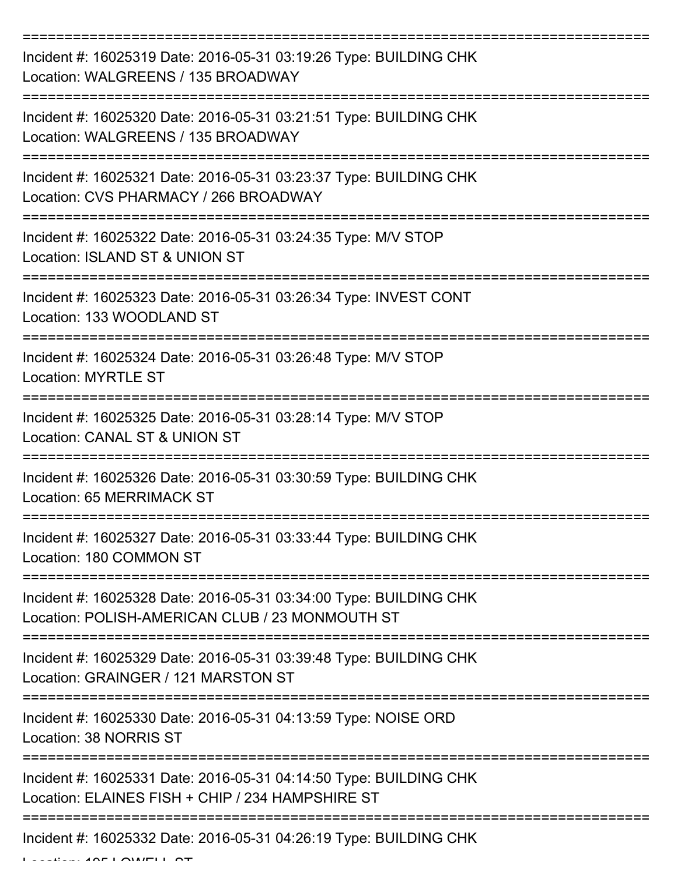| Incident #: 16025319 Date: 2016-05-31 03:19:26 Type: BUILDING CHK<br>Location: WALGREENS / 135 BROADWAY               |
|-----------------------------------------------------------------------------------------------------------------------|
| Incident #: 16025320 Date: 2016-05-31 03:21:51 Type: BUILDING CHK<br>Location: WALGREENS / 135 BROADWAY               |
| Incident #: 16025321 Date: 2016-05-31 03:23:37 Type: BUILDING CHK<br>Location: CVS PHARMACY / 266 BROADWAY            |
| Incident #: 16025322 Date: 2016-05-31 03:24:35 Type: M/V STOP<br>Location: ISLAND ST & UNION ST                       |
| Incident #: 16025323 Date: 2016-05-31 03:26:34 Type: INVEST CONT<br>Location: 133 WOODLAND ST                         |
| Incident #: 16025324 Date: 2016-05-31 03:26:48 Type: M/V STOP<br><b>Location: MYRTLE ST</b>                           |
| Incident #: 16025325 Date: 2016-05-31 03:28:14 Type: M/V STOP<br>Location: CANAL ST & UNION ST                        |
| Incident #: 16025326 Date: 2016-05-31 03:30:59 Type: BUILDING CHK<br>Location: 65 MERRIMACK ST                        |
| Incident #: 16025327 Date: 2016-05-31 03:33:44 Type: BUILDING CHK<br>Location: 180 COMMON ST                          |
| Incident #: 16025328 Date: 2016-05-31 03:34:00 Type: BUILDING CHK<br>Location: POLISH-AMERICAN CLUB / 23 MONMOUTH ST  |
| Incident #: 16025329 Date: 2016-05-31 03:39:48 Type: BUILDING CHK<br>Location: GRAINGER / 121 MARSTON ST              |
| Incident #: 16025330 Date: 2016-05-31 04:13:59 Type: NOISE ORD<br>Location: 38 NORRIS ST                              |
| Incident #: 16025331 Date: 2016-05-31 04:14:50 Type: BUILDING CHK<br>Location: ELAINES FISH + CHIP / 234 HAMPSHIRE ST |
| Incident #: 16025332 Date: 2016-05-31 04:26:19 Type: BUILDING CHK                                                     |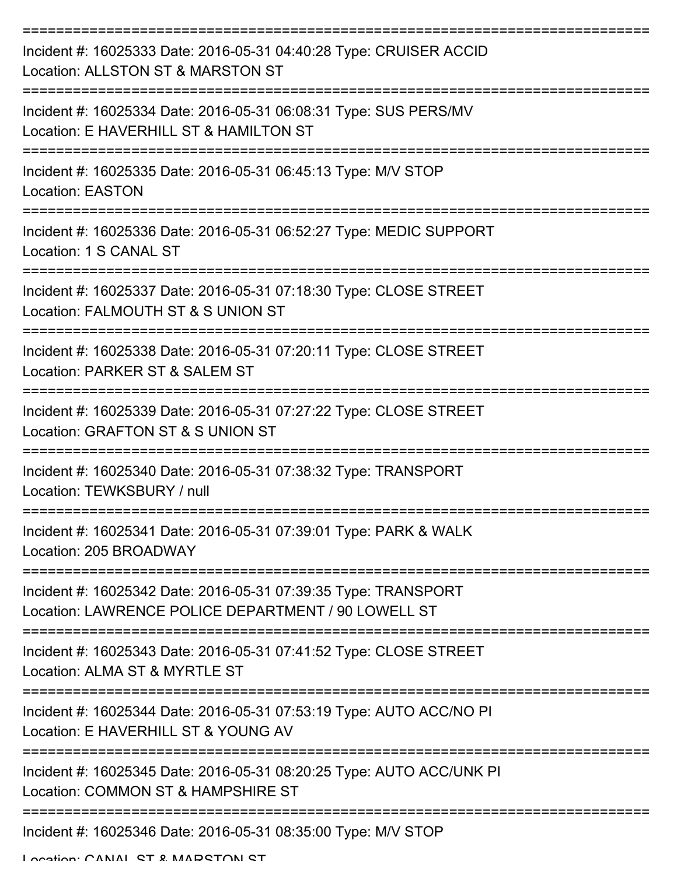| Incident #: 16025333 Date: 2016-05-31 04:40:28 Type: CRUISER ACCID<br>Location: ALLSTON ST & MARSTON ST               |
|-----------------------------------------------------------------------------------------------------------------------|
| Incident #: 16025334 Date: 2016-05-31 06:08:31 Type: SUS PERS/MV<br>Location: E HAVERHILL ST & HAMILTON ST            |
| Incident #: 16025335 Date: 2016-05-31 06:45:13 Type: M/V STOP<br><b>Location: EASTON</b>                              |
| Incident #: 16025336 Date: 2016-05-31 06:52:27 Type: MEDIC SUPPORT<br>Location: 1 S CANAL ST                          |
| Incident #: 16025337 Date: 2016-05-31 07:18:30 Type: CLOSE STREET<br>Location: FALMOUTH ST & S UNION ST               |
| Incident #: 16025338 Date: 2016-05-31 07:20:11 Type: CLOSE STREET<br>Location: PARKER ST & SALEM ST                   |
| Incident #: 16025339 Date: 2016-05-31 07:27:22 Type: CLOSE STREET<br>Location: GRAFTON ST & S UNION ST                |
| Incident #: 16025340 Date: 2016-05-31 07:38:32 Type: TRANSPORT<br>Location: TEWKSBURY / null                          |
| Incident #: 16025341 Date: 2016-05-31 07:39:01 Type: PARK & WALK<br>Location: 205 BROADWAY                            |
| Incident #: 16025342 Date: 2016-05-31 07:39:35 Type: TRANSPORT<br>Location: LAWRENCE POLICE DEPARTMENT / 90 LOWELL ST |
| Incident #: 16025343 Date: 2016-05-31 07:41:52 Type: CLOSE STREET<br>Location: ALMA ST & MYRTLE ST                    |
| Incident #: 16025344 Date: 2016-05-31 07:53:19 Type: AUTO ACC/NO PI<br>Location: E HAVERHILL ST & YOUNG AV            |
| Incident #: 16025345 Date: 2016-05-31 08:20:25 Type: AUTO ACC/UNK PI<br>Location: COMMON ST & HAMPSHIRE ST            |
| Incident #: 16025346 Date: 2016-05-31 08:35:00 Type: M/V STOP                                                         |

Location: CANIAL ST & MADSTON ST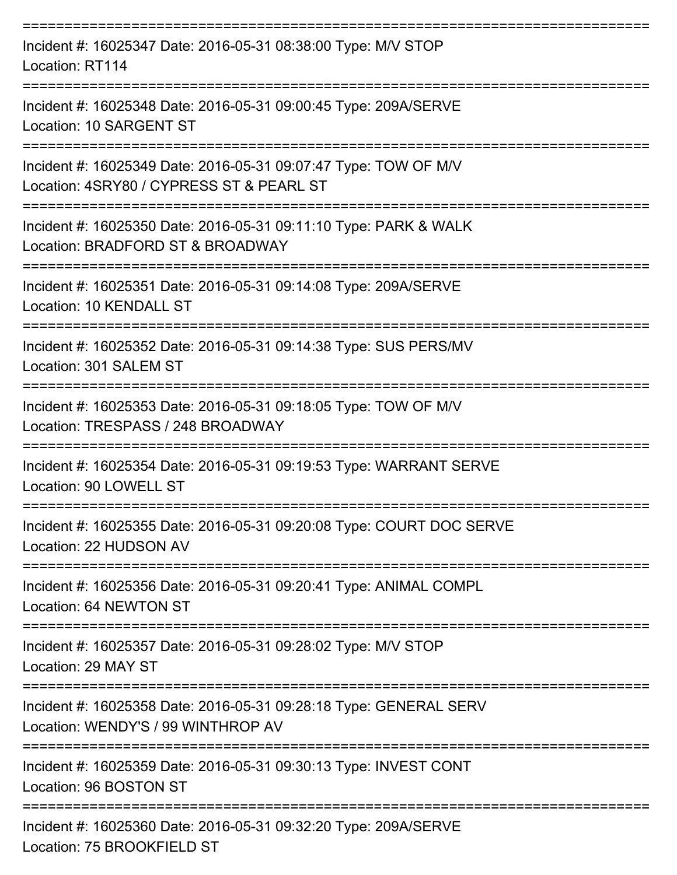| Incident #: 16025347 Date: 2016-05-31 08:38:00 Type: M/V STOP<br>Location: RT114                            |
|-------------------------------------------------------------------------------------------------------------|
| Incident #: 16025348 Date: 2016-05-31 09:00:45 Type: 209A/SERVE<br>Location: 10 SARGENT ST                  |
| Incident #: 16025349 Date: 2016-05-31 09:07:47 Type: TOW OF M/V<br>Location: 4SRY80 / CYPRESS ST & PEARL ST |
| Incident #: 16025350 Date: 2016-05-31 09:11:10 Type: PARK & WALK<br>Location: BRADFORD ST & BROADWAY        |
| Incident #: 16025351 Date: 2016-05-31 09:14:08 Type: 209A/SERVE<br>Location: 10 KENDALL ST                  |
| Incident #: 16025352 Date: 2016-05-31 09:14:38 Type: SUS PERS/MV<br>Location: 301 SALEM ST                  |
| Incident #: 16025353 Date: 2016-05-31 09:18:05 Type: TOW OF M/V<br>Location: TRESPASS / 248 BROADWAY        |
| Incident #: 16025354 Date: 2016-05-31 09:19:53 Type: WARRANT SERVE<br>Location: 90 LOWELL ST                |
| Incident #: 16025355 Date: 2016-05-31 09:20:08 Type: COURT DOC SERVE<br>Location: 22 HUDSON AV              |
| Incident #: 16025356 Date: 2016-05-31 09:20:41 Type: ANIMAL COMPL<br>Location: 64 NEWTON ST                 |
| Incident #: 16025357 Date: 2016-05-31 09:28:02 Type: M/V STOP<br>Location: 29 MAY ST                        |
| Incident #: 16025358 Date: 2016-05-31 09:28:18 Type: GENERAL SERV<br>Location: WENDY'S / 99 WINTHROP AV     |
| Incident #: 16025359 Date: 2016-05-31 09:30:13 Type: INVEST CONT<br>Location: 96 BOSTON ST                  |
| Incident #: 16025360 Date: 2016-05-31 09:32:20 Type: 209A/SERVE<br>Location: 75 BROOKFIELD ST               |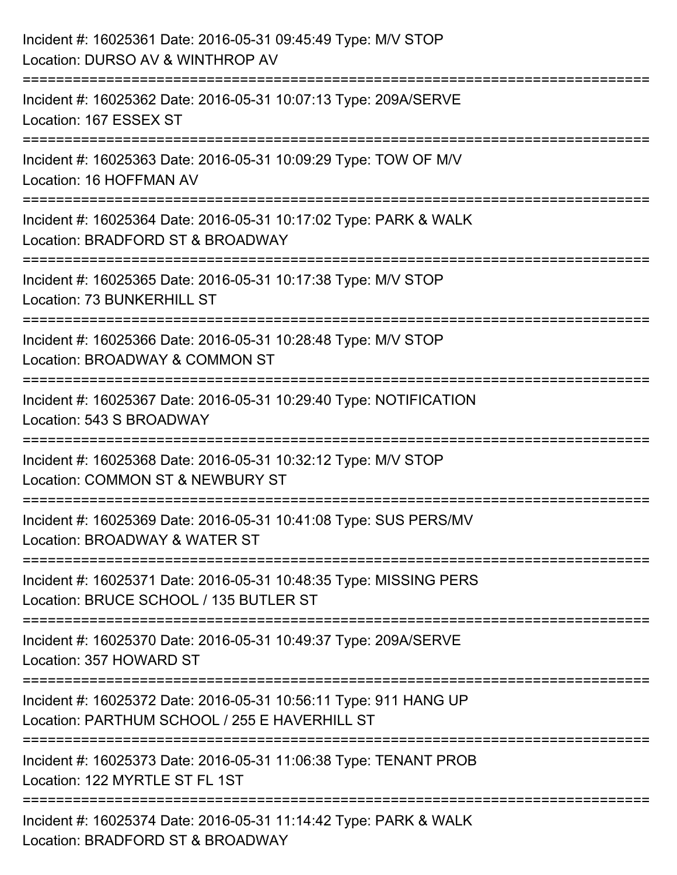| Incident #: 16025361 Date: 2016-05-31 09:45:49 Type: M/V STOP<br>Location: DURSO AV & WINTHROP AV                            |
|------------------------------------------------------------------------------------------------------------------------------|
| ===============<br>Incident #: 16025362 Date: 2016-05-31 10:07:13 Type: 209A/SERVE<br>Location: 167 ESSEX ST                 |
| Incident #: 16025363 Date: 2016-05-31 10:09:29 Type: TOW OF M/V<br>Location: 16 HOFFMAN AV                                   |
| Incident #: 16025364 Date: 2016-05-31 10:17:02 Type: PARK & WALK<br>Location: BRADFORD ST & BROADWAY                         |
| :============================<br>Incident #: 16025365 Date: 2016-05-31 10:17:38 Type: M/V STOP<br>Location: 73 BUNKERHILL ST |
| Incident #: 16025366 Date: 2016-05-31 10:28:48 Type: M/V STOP<br>Location: BROADWAY & COMMON ST                              |
| Incident #: 16025367 Date: 2016-05-31 10:29:40 Type: NOTIFICATION<br>Location: 543 S BROADWAY                                |
| Incident #: 16025368 Date: 2016-05-31 10:32:12 Type: M/V STOP<br>Location: COMMON ST & NEWBURY ST                            |
| Incident #: 16025369 Date: 2016-05-31 10:41:08 Type: SUS PERS/MV<br>Location: BROADWAY & WATER ST                            |
| Incident #: 16025371 Date: 2016-05-31 10:48:35 Type: MISSING PERS<br>Location: BRUCE SCHOOL / 135 BUTLER ST                  |
| Incident #: 16025370 Date: 2016-05-31 10:49:37 Type: 209A/SERVE<br>Location: 357 HOWARD ST                                   |
| Incident #: 16025372 Date: 2016-05-31 10:56:11 Type: 911 HANG UP<br>Location: PARTHUM SCHOOL / 255 E HAVERHILL ST            |
| Incident #: 16025373 Date: 2016-05-31 11:06:38 Type: TENANT PROB<br>Location: 122 MYRTLE ST FL 1ST                           |
| Incident #: 16025374 Date: 2016-05-31 11:14:42 Type: PARK & WALK<br>Location: BRADFORD ST & BROADWAY                         |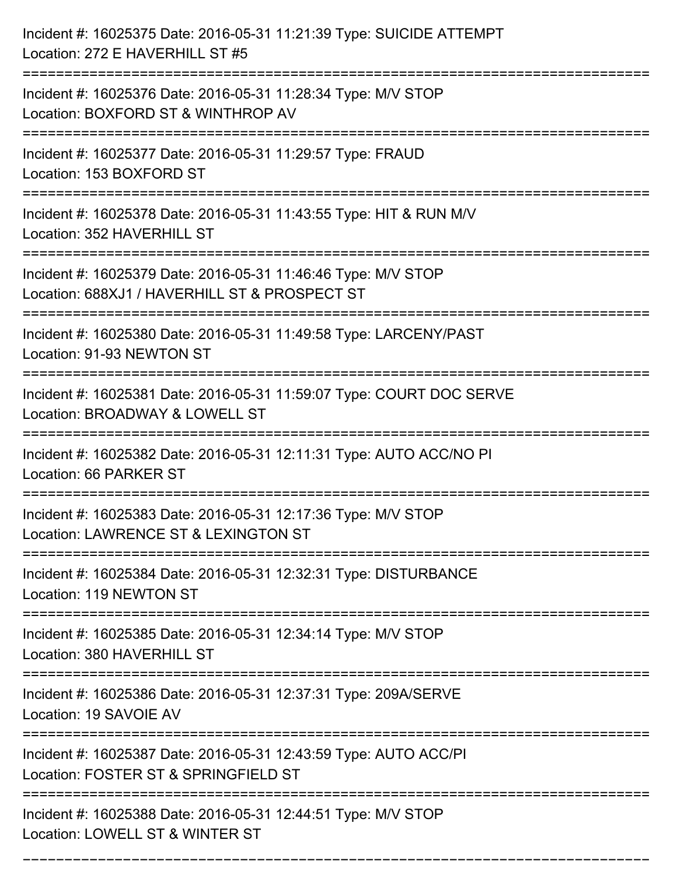| Incident #: 16025375 Date: 2016-05-31 11:21:39 Type: SUICIDE ATTEMPT<br>Location: 272 E HAVERHILL ST #5                  |
|--------------------------------------------------------------------------------------------------------------------------|
| Incident #: 16025376 Date: 2016-05-31 11:28:34 Type: M/V STOP<br>Location: BOXFORD ST & WINTHROP AV                      |
| Incident #: 16025377 Date: 2016-05-31 11:29:57 Type: FRAUD<br>Location: 153 BOXFORD ST                                   |
| Incident #: 16025378 Date: 2016-05-31 11:43:55 Type: HIT & RUN M/V<br>Location: 352 HAVERHILL ST                         |
| Incident #: 16025379 Date: 2016-05-31 11:46:46 Type: M/V STOP<br>Location: 688XJ1 / HAVERHILL ST & PROSPECT ST           |
| Incident #: 16025380 Date: 2016-05-31 11:49:58 Type: LARCENY/PAST<br>Location: 91-93 NEWTON ST                           |
| Incident #: 16025381 Date: 2016-05-31 11:59:07 Type: COURT DOC SERVE<br>Location: BROADWAY & LOWELL ST                   |
| Incident #: 16025382 Date: 2016-05-31 12:11:31 Type: AUTO ACC/NO PI<br>Location: 66 PARKER ST                            |
| Incident #: 16025383 Date: 2016-05-31 12:17:36 Type: M/V STOP<br>Location: LAWRENCE ST & LEXINGTON ST                    |
| Incident #: 16025384 Date: 2016-05-31 12:32:31 Type: DISTURBANCE<br>Location: 119 NEWTON ST<br>------------------------- |
| Incident #: 16025385 Date: 2016-05-31 12:34:14 Type: M/V STOP<br>Location: 380 HAVERHILL ST                              |
| Incident #: 16025386 Date: 2016-05-31 12:37:31 Type: 209A/SERVE<br>Location: 19 SAVOIE AV                                |
| Incident #: 16025387 Date: 2016-05-31 12:43:59 Type: AUTO ACC/PI<br>Location: FOSTER ST & SPRINGFIELD ST                 |
| Incident #: 16025388 Date: 2016-05-31 12:44:51 Type: M/V STOP<br>Location: LOWELL ST & WINTER ST                         |

===========================================================================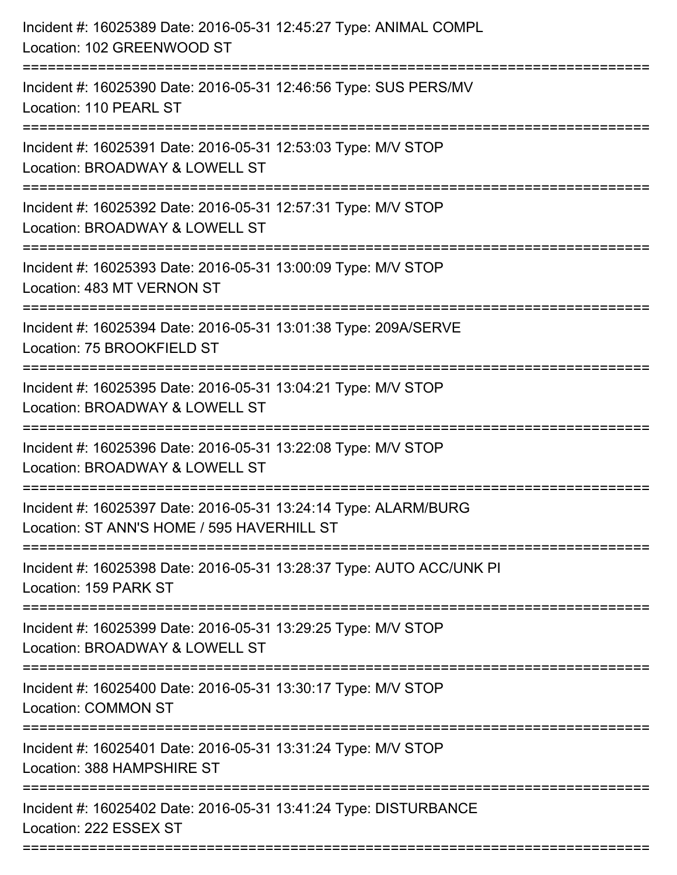| Incident #: 16025390 Date: 2016-05-31 12:46:56 Type: SUS PERS/MV                                              |
|---------------------------------------------------------------------------------------------------------------|
| Location: 110 PEARL ST                                                                                        |
| Incident #: 16025391 Date: 2016-05-31 12:53:03 Type: M/V STOP<br>Location: BROADWAY & LOWELL ST               |
| Incident #: 16025392 Date: 2016-05-31 12:57:31 Type: M/V STOP<br>Location: BROADWAY & LOWELL ST               |
| Incident #: 16025393 Date: 2016-05-31 13:00:09 Type: M/V STOP<br>Location: 483 MT VERNON ST                   |
| Incident #: 16025394 Date: 2016-05-31 13:01:38 Type: 209A/SERVE<br>Location: 75 BROOKFIELD ST                 |
| Incident #: 16025395 Date: 2016-05-31 13:04:21 Type: M/V STOP<br>Location: BROADWAY & LOWELL ST               |
| Incident #: 16025396 Date: 2016-05-31 13:22:08 Type: M/V STOP<br>Location: BROADWAY & LOWELL ST               |
| Incident #: 16025397 Date: 2016-05-31 13:24:14 Type: ALARM/BURG<br>Location: ST ANN'S HOME / 595 HAVERHILL ST |
| Incident #: 16025398 Date: 2016-05-31 13:28:37 Type: AUTO ACC/UNK PI<br>Location: 159 PARK ST                 |
| Incident #: 16025399 Date: 2016-05-31 13:29:25 Type: M/V STOP<br>Location: BROADWAY & LOWELL ST               |
| Incident #: 16025400 Date: 2016-05-31 13:30:17 Type: M/V STOP<br><b>Location: COMMON ST</b>                   |
| Incident #: 16025401 Date: 2016-05-31 13:31:24 Type: M/V STOP<br>Location: 388 HAMPSHIRE ST                   |
| Incident #: 16025402 Date: 2016-05-31 13:41:24 Type: DISTURBANCE<br>Location: 222 ESSEX ST                    |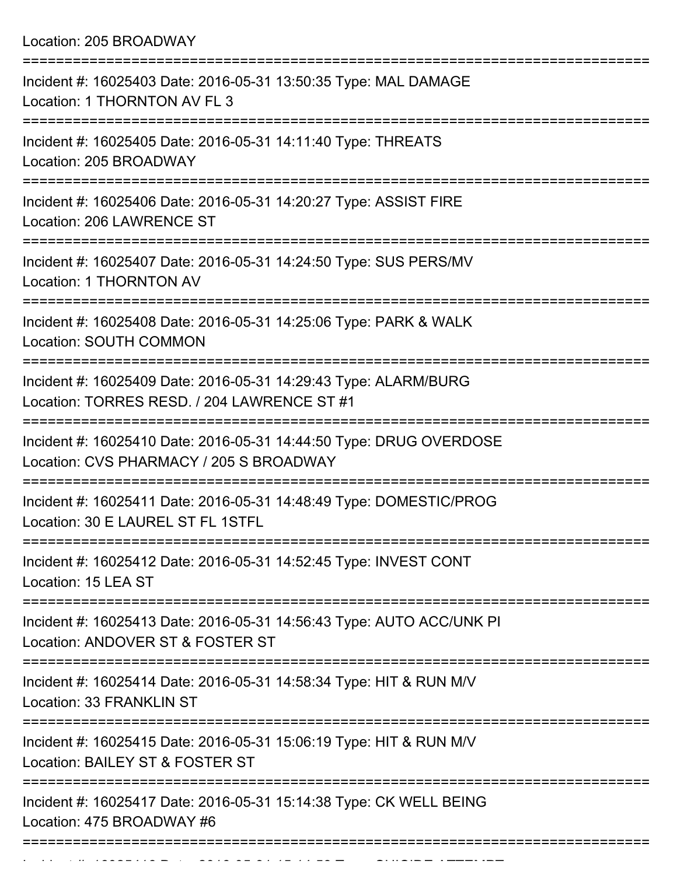Location: 205 BROADWAY

| Incident #: 16025403 Date: 2016-05-31 13:50:35 Type: MAL DAMAGE<br>Location: 1 THORNTON AV FL 3                                      |
|--------------------------------------------------------------------------------------------------------------------------------------|
| Incident #: 16025405 Date: 2016-05-31 14:11:40 Type: THREATS<br>Location: 205 BROADWAY                                               |
| Incident #: 16025406 Date: 2016-05-31 14:20:27 Type: ASSIST FIRE<br>Location: 206 LAWRENCE ST                                        |
| Incident #: 16025407 Date: 2016-05-31 14:24:50 Type: SUS PERS/MV<br>Location: 1 THORNTON AV                                          |
| Incident #: 16025408 Date: 2016-05-31 14:25:06 Type: PARK & WALK<br><b>Location: SOUTH COMMON</b>                                    |
| Incident #: 16025409 Date: 2016-05-31 14:29:43 Type: ALARM/BURG<br>Location: TORRES RESD. / 204 LAWRENCE ST #1                       |
| Incident #: 16025410 Date: 2016-05-31 14:44:50 Type: DRUG OVERDOSE<br>Location: CVS PHARMACY / 205 S BROADWAY                        |
| Incident #: 16025411 Date: 2016-05-31 14:48:49 Type: DOMESTIC/PROG<br>Location: 30 E LAUREL ST FL 1STFL                              |
| Incident #: 16025412 Date: 2016-05-31 14:52:45 Type: INVEST CONT<br>Location: 15 LEA ST                                              |
| ========================<br>Incident #: 16025413 Date: 2016-05-31 14:56:43 Type: AUTO ACC/UNK PI<br>Location: ANDOVER ST & FOSTER ST |
| Incident #: 16025414 Date: 2016-05-31 14:58:34 Type: HIT & RUN M/V<br>Location: 33 FRANKLIN ST                                       |
| Incident #: 16025415 Date: 2016-05-31 15:06:19 Type: HIT & RUN M/V<br>Location: BAILEY ST & FOSTER ST                                |
| Incident #: 16025417 Date: 2016-05-31 15:14:38 Type: CK WELL BEING<br>Location: 475 BROADWAY #6                                      |
|                                                                                                                                      |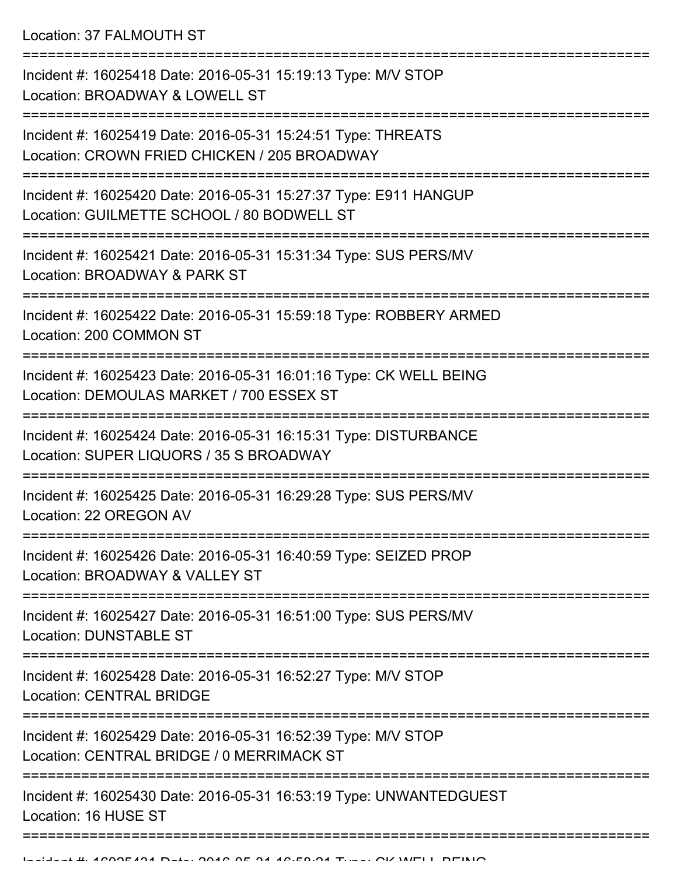Location: 37 FALMOUTH ST

=========================================================================== Incident #: 16025418 Date: 2016-05-31 15:19:13 Type: M/V STOP Location: BROADWAY & LOWELL ST =========================================================================== Incident #: 16025419 Date: 2016-05-31 15:24:51 Type: THREATS Location: CROWN FRIED CHICKEN / 205 BROADWAY =========================================================================== Incident #: 16025420 Date: 2016-05-31 15:27:37 Type: E911 HANGUP Location: GUILMETTE SCHOOL / 80 BODWELL ST =========================================================================== Incident #: 16025421 Date: 2016-05-31 15:31:34 Type: SUS PERS/MV Location: BROADWAY & PARK ST =========================================================================== Incident #: 16025422 Date: 2016-05-31 15:59:18 Type: ROBBERY ARMED Location: 200 COMMON ST =========================================================================== Incident #: 16025423 Date: 2016-05-31 16:01:16 Type: CK WELL BEING Location: DEMOULAS MARKET / 700 ESSEX ST =========================================================================== Incident #: 16025424 Date: 2016-05-31 16:15:31 Type: DISTURBANCE Location: SUPER LIQUORS / 35 S BROADWAY =========================================================================== Incident #: 16025425 Date: 2016-05-31 16:29:28 Type: SUS PERS/MV Location: 22 OREGON AV =========================================================================== Incident #: 16025426 Date: 2016-05-31 16:40:59 Type: SEIZED PROP Location: BROADWAY & VALLEY ST =========================================================================== Incident #: 16025427 Date: 2016-05-31 16:51:00 Type: SUS PERS/MV Location: DUNSTABLE ST =========================================================================== Incident #: 16025428 Date: 2016-05-31 16:52:27 Type: M/V STOP Location: CENTRAL BRIDGE =========================================================================== Incident #: 16025429 Date: 2016-05-31 16:52:39 Type: M/V STOP Location: CENTRAL BRIDGE / 0 MERRIMACK ST =========================================================================== Incident #: 16025430 Date: 2016-05-31 16:53:19 Type: UNWANTEDGUEST Location: 16 HUSE ST =============================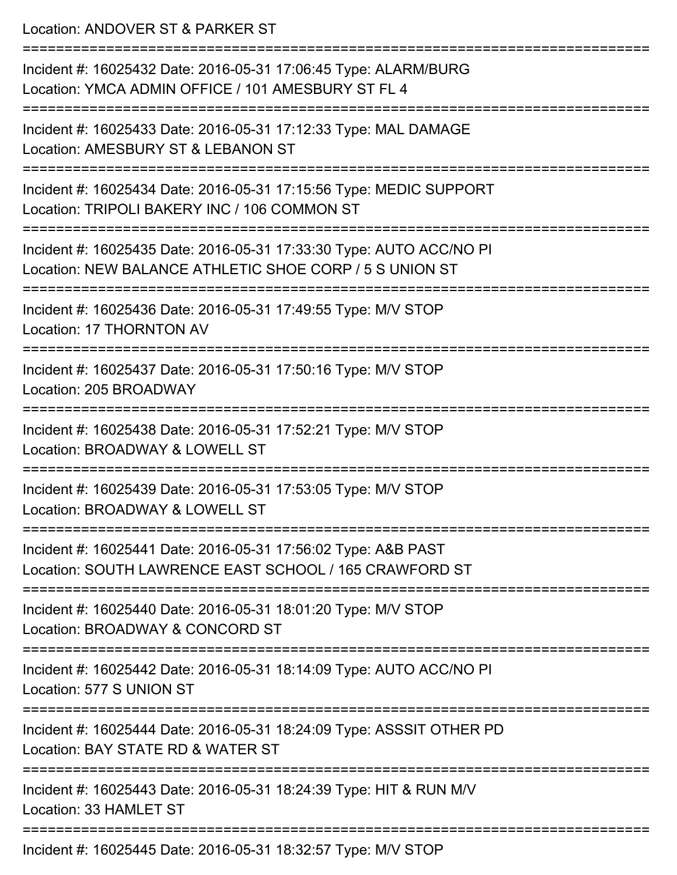Location: ANDOVER ST & PARKER ST =========================================================================== Incident #: 16025432 Date: 2016-05-31 17:06:45 Type: ALARM/BURG Location: YMCA ADMIN OFFICE / 101 AMESBURY ST FL 4 =========================================================================== Incident #: 16025433 Date: 2016-05-31 17:12:33 Type: MAL DAMAGE Location: AMESBURY ST & LEBANON ST =========================================================================== Incident #: 16025434 Date: 2016-05-31 17:15:56 Type: MEDIC SUPPORT Location: TRIPOLI BAKERY INC / 106 COMMON ST =========================================================================== Incident #: 16025435 Date: 2016-05-31 17:33:30 Type: AUTO ACC/NO PI Location: NEW BALANCE ATHLETIC SHOE CORP / 5 S UNION ST =========================================================================== Incident #: 16025436 Date: 2016-05-31 17:49:55 Type: M/V STOP Location: 17 THORNTON AV =========================================================================== Incident #: 16025437 Date: 2016-05-31 17:50:16 Type: M/V STOP Location: 205 BROADWAY =========================================================================== Incident #: 16025438 Date: 2016-05-31 17:52:21 Type: M/V STOP Location: BROADWAY & LOWELL ST =========================================================================== Incident #: 16025439 Date: 2016-05-31 17:53:05 Type: M/V STOP Location: BROADWAY & LOWELL ST =========================================================================== Incident #: 16025441 Date: 2016-05-31 17:56:02 Type: A&B PAST Location: SOUTH LAWRENCE EAST SCHOOL / 165 CRAWFORD ST =========================================================================== Incident #: 16025440 Date: 2016-05-31 18:01:20 Type: M/V STOP Location: BROADWAY & CONCORD ST =========================================================================== Incident #: 16025442 Date: 2016-05-31 18:14:09 Type: AUTO ACC/NO PI Location: 577 S UNION ST =========================================================================== Incident #: 16025444 Date: 2016-05-31 18:24:09 Type: ASSSIT OTHER PD Location: BAY STATE RD & WATER ST =========================================================================== Incident #: 16025443 Date: 2016-05-31 18:24:39 Type: HIT & RUN M/V Location: 33 HAMLET ST ===========================================================================

Incident #: 16025445 Date: 2016-05-31 18:32:57 Type: M/V STOP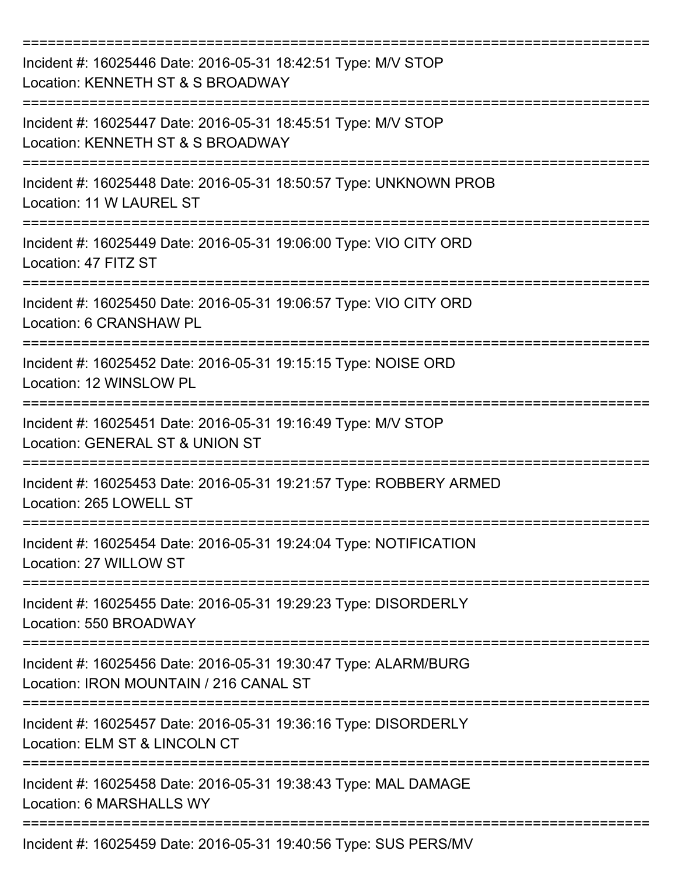| Incident #: 16025446 Date: 2016-05-31 18:42:51 Type: M/V STOP<br>Location: KENNETH ST & S BROADWAY                                  |
|-------------------------------------------------------------------------------------------------------------------------------------|
| Incident #: 16025447 Date: 2016-05-31 18:45:51 Type: M/V STOP<br>Location: KENNETH ST & S BROADWAY                                  |
| Incident #: 16025448 Date: 2016-05-31 18:50:57 Type: UNKNOWN PROB<br>Location: 11 W LAUREL ST                                       |
| Incident #: 16025449 Date: 2016-05-31 19:06:00 Type: VIO CITY ORD<br>Location: 47 FITZ ST                                           |
| Incident #: 16025450 Date: 2016-05-31 19:06:57 Type: VIO CITY ORD<br>Location: 6 CRANSHAW PL                                        |
| Incident #: 16025452 Date: 2016-05-31 19:15:15 Type: NOISE ORD<br>Location: 12 WINSLOW PL                                           |
| Incident #: 16025451 Date: 2016-05-31 19:16:49 Type: M/V STOP<br>Location: GENERAL ST & UNION ST                                    |
| Incident #: 16025453 Date: 2016-05-31 19:21:57 Type: ROBBERY ARMED<br>Location: 265 LOWELL ST                                       |
| Incident #: 16025454 Date: 2016-05-31 19:24:04 Type: NOTIFICATION<br>Location: 27 WILLOW ST                                         |
| Incident #: 16025455 Date: 2016-05-31 19:29:23 Type: DISORDERLY<br>Location: 550 BROADWAY                                           |
| ======================<br>Incident #: 16025456 Date: 2016-05-31 19:30:47 Type: ALARM/BURG<br>Location: IRON MOUNTAIN / 216 CANAL ST |
| Incident #: 16025457 Date: 2016-05-31 19:36:16 Type: DISORDERLY<br>Location: ELM ST & LINCOLN CT                                    |
| Incident #: 16025458 Date: 2016-05-31 19:38:43 Type: MAL DAMAGE<br>Location: 6 MARSHALLS WY                                         |
| Incident #: 16025459 Date: 2016-05-31 19:40:56 Type: SUS PERS/MV                                                                    |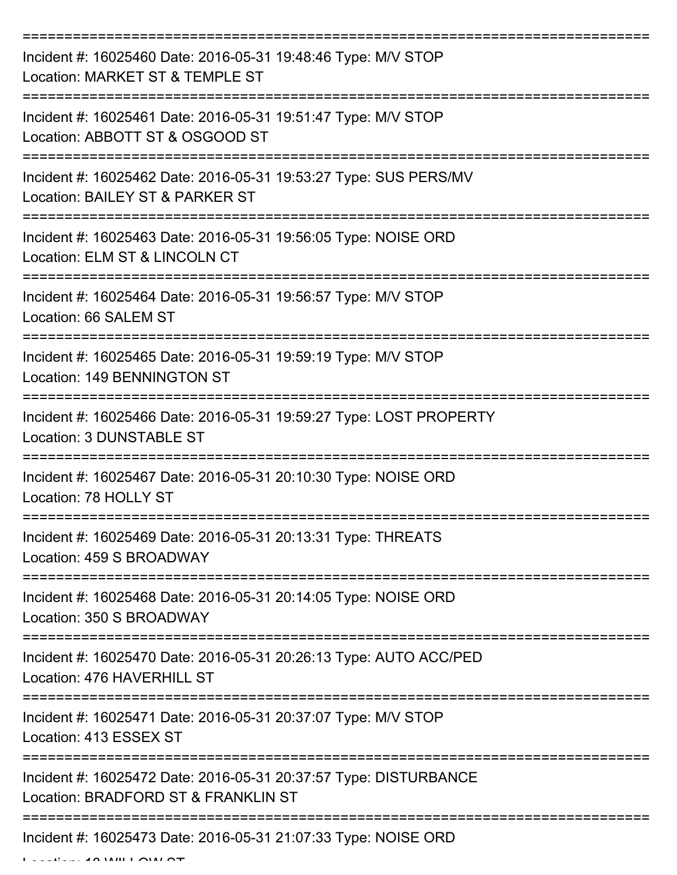| Incident #: 16025460 Date: 2016-05-31 19:48:46 Type: M/V STOP<br>Location: MARKET ST & TEMPLE ST                     |
|----------------------------------------------------------------------------------------------------------------------|
| Incident #: 16025461 Date: 2016-05-31 19:51:47 Type: M/V STOP<br>Location: ABBOTT ST & OSGOOD ST                     |
| Incident #: 16025462 Date: 2016-05-31 19:53:27 Type: SUS PERS/MV<br>Location: BAILEY ST & PARKER ST                  |
| Incident #: 16025463 Date: 2016-05-31 19:56:05 Type: NOISE ORD<br>Location: ELM ST & LINCOLN CT                      |
| Incident #: 16025464 Date: 2016-05-31 19:56:57 Type: M/V STOP<br>Location: 66 SALEM ST                               |
| Incident #: 16025465 Date: 2016-05-31 19:59:19 Type: M/V STOP<br>Location: 149 BENNINGTON ST                         |
| Incident #: 16025466 Date: 2016-05-31 19:59:27 Type: LOST PROPERTY<br><b>Location: 3 DUNSTABLE ST</b><br>=========== |
| Incident #: 16025467 Date: 2016-05-31 20:10:30 Type: NOISE ORD<br>Location: 78 HOLLY ST                              |
| Incident #: 16025469 Date: 2016-05-31 20:13:31 Type: THREATS<br>Location: 459 S BROADWAY                             |
| Incident #: 16025468 Date: 2016-05-31 20:14:05 Type: NOISE ORD<br>Location: 350 S BROADWAY                           |
| Incident #: 16025470 Date: 2016-05-31 20:26:13 Type: AUTO ACC/PED<br>Location: 476 HAVERHILL ST                      |
| Incident #: 16025471 Date: 2016-05-31 20:37:07 Type: M/V STOP<br>Location: 413 ESSEX ST                              |
| Incident #: 16025472 Date: 2016-05-31 20:37:57 Type: DISTURBANCE<br>Location: BRADFORD ST & FRANKLIN ST              |
| Incident #: 16025473 Date: 2016-05-31 21:07:33 Type: NOISE ORD                                                       |

 $L = L L L L L L A \Delta M H L A \Delta T$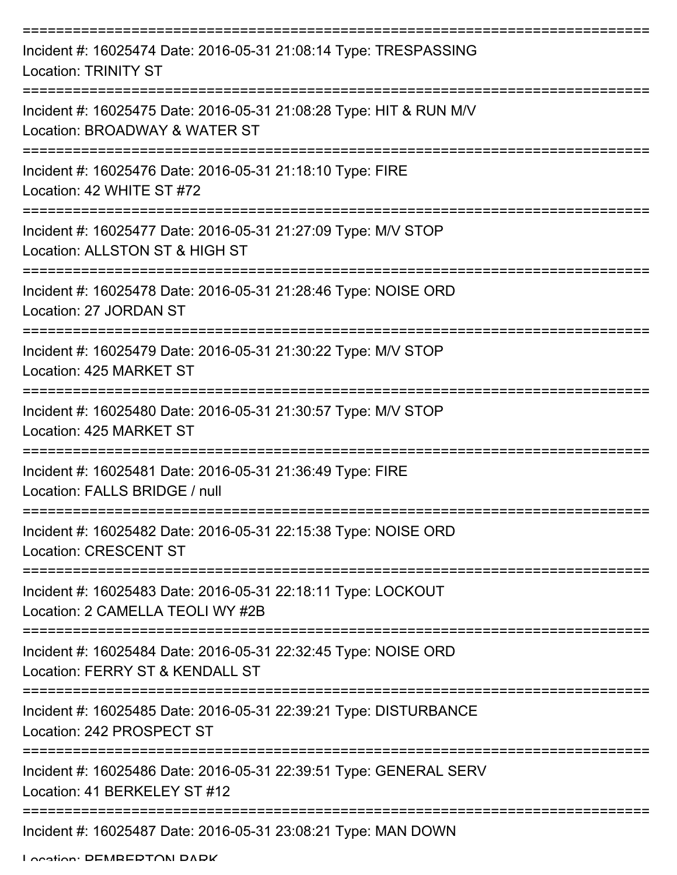| Incident #: 16025474 Date: 2016-05-31 21:08:14 Type: TRESPASSING<br><b>Location: TRINITY ST</b>     |
|-----------------------------------------------------------------------------------------------------|
| Incident #: 16025475 Date: 2016-05-31 21:08:28 Type: HIT & RUN M/V<br>Location: BROADWAY & WATER ST |
| Incident #: 16025476 Date: 2016-05-31 21:18:10 Type: FIRE<br>Location: 42 WHITE ST #72              |
| Incident #: 16025477 Date: 2016-05-31 21:27:09 Type: M/V STOP<br>Location: ALLSTON ST & HIGH ST     |
| Incident #: 16025478 Date: 2016-05-31 21:28:46 Type: NOISE ORD<br>Location: 27 JORDAN ST            |
| Incident #: 16025479 Date: 2016-05-31 21:30:22 Type: M/V STOP<br>Location: 425 MARKET ST            |
| Incident #: 16025480 Date: 2016-05-31 21:30:57 Type: M/V STOP<br>Location: 425 MARKET ST            |
| Incident #: 16025481 Date: 2016-05-31 21:36:49 Type: FIRE<br>Location: FALLS BRIDGE / null          |
| Incident #: 16025482 Date: 2016-05-31 22:15:38 Type: NOISE ORD<br><b>Location: CRESCENT ST</b>      |
| Incident #: 16025483 Date: 2016-05-31 22:18:11 Type: LOCKOUT<br>Location: 2 CAMELLA TEOLI WY #2B    |
| Incident #: 16025484 Date: 2016-05-31 22:32:45 Type: NOISE ORD<br>Location: FERRY ST & KENDALL ST   |
| Incident #: 16025485 Date: 2016-05-31 22:39:21 Type: DISTURBANCE<br>Location: 242 PROSPECT ST       |
| Incident #: 16025486 Date: 2016-05-31 22:39:51 Type: GENERAL SERV<br>Location: 41 BERKELEY ST #12   |
| Incident #: 16025487 Date: 2016-05-31 23:08:21 Type: MAN DOWN                                       |

Location: DEMREDTON DADK